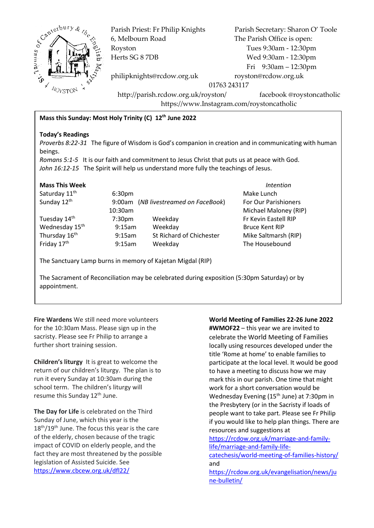

6, Melbourn Road The Parish Office is open: Royston Tues 9:30am - 12:30pm Herts SG 8 7DB Wed 9:30am - 12:30pm

Parish Priest: Fr Philip Knights Parish Secretary: Sharon O' Toole Fri 9:30am – 12:30pm

philipknights@rcdow.org.uk royston@rcdow.org.uk

01763 243117

http://parish.rcdow.org.uk/royston/ facebook @roystoncatholic https://www.Instagram.com/roystoncatholic

## **Mass this Sunday: Most Holy Trinity (C) 12th June 2022**

#### **Today's Readings**

*Proverbs 8:22-31* The figure of Wisdom is God's companion in creation and in communicating with human beings.

*Romans 5:1-5* It is our faith and commitment to Jesus Christ that puts us at peace with God. *John 16:12-15* The Spirit will help us understand more fully the teachings of Jesus.

### **Mass This Week** *Intention*

Saturday 11<sup>th</sup> Sunday 12<sup>th</sup>

Tuesday 14<sup>th</sup> Wednesday 15<sup>th</sup> Thursday 16<sup>th</sup> Friday 17<sup>th</sup>

 9:00am (*NB livestreamed on FaceBook*) For Our Parishioners 10:30am Michael Maloney (RIP) 7:30pmWeekday Fr Kevin Eastell RIP 9:15am Weekday Bruce Kent RIP 9:15am St Richard of Chichester Mike Saltmarsh (RIP) 9:15am Weekday The Housebound

6:30pm Make Lunch

The Sanctuary Lamp burns in memory of Kajetan Migdal (RIP)

The Sacrament of Reconciliation may be celebrated during exposition (5:30pm Saturday) or by appointment.

**Fire Wardens** We still need more volunteers for the 10:30am Mass. Please sign up in the sacristy. Please see Fr Philip to arrange a further short training session.

**Children's liturgy** It is great to welcome the return of our children's liturgy. The plan is to run it every Sunday at 10:30am during the school term. The children's liturgy will resume this Sunday 12<sup>th</sup> June.

**The Day for Life** is celebrated on the Third Sunday of June, which this year is the  $18<sup>th</sup>/19<sup>th</sup>$  June. The focus this year is the care of the elderly, chosen because of the tragic impact of COVID on elderly people, and the fact they are most threatened by the possible legislation of Assisted Suicide. See <https://www.cbcew.org.uk/dfl22/>

**World Meeting of Families 22-26 June 2022 #WMOF22** – this year we are invited to celebrate the World Meeting of Families locally using resources developed under the title 'Rome at home' to enable families to participate at the local level. It would be good to have a meeting to discuss how we may mark this in our parish. One time that might work for a short conversation would be Wednesday Evening (15<sup>th</sup> June) at 7:30pm in the Presbytery (or in the Sacristy if loads of people want to take part. Please see Fr Philip if you would like to help plan things. There are resources and suggestions at [https://rcdow.org.uk/marriage-and-family](https://rcdow.org.uk/marriage-and-family-life/marriage-and-family-life-catechesis/world-meeting-of-families-history/)[life/marriage-and-family-life](https://rcdow.org.uk/marriage-and-family-life/marriage-and-family-life-catechesis/world-meeting-of-families-history/)[catechesis/world-meeting-of-families-history/](https://rcdow.org.uk/marriage-and-family-life/marriage-and-family-life-catechesis/world-meeting-of-families-history/) and

[https://rcdow.org.uk/evangelisation/news/ju](https://rcdow.org.uk/evangelisation/news/june-bulletin/) [ne-bulletin/](https://rcdow.org.uk/evangelisation/news/june-bulletin/)